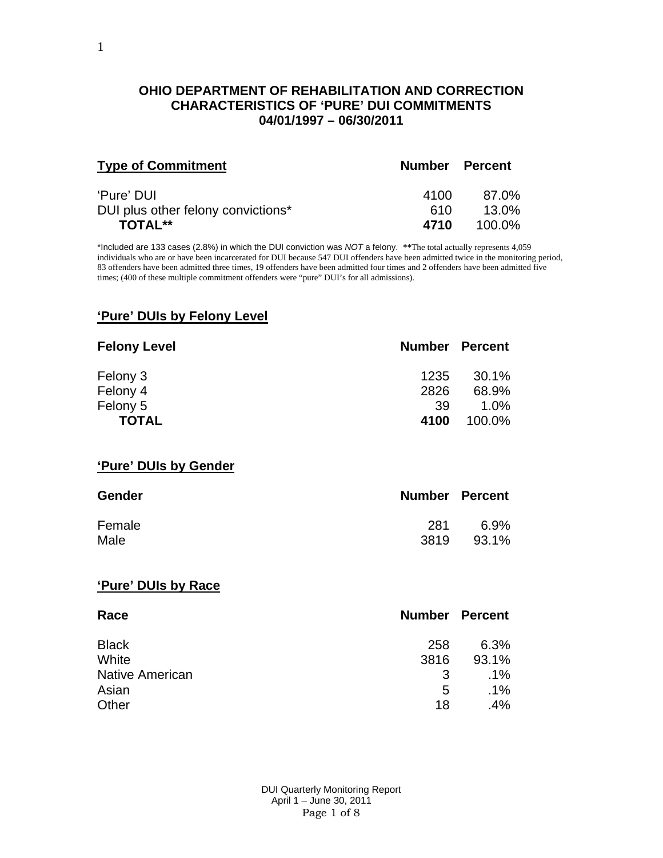#### **OHIO DEPARTMENT OF REHABILITATION AND CORRECTION CHARACTERISTICS OF 'PURE' DUI COMMITMENTS 04/01/1997 – 06/30/2011**

| <b>Type of Commitment</b>          | <b>Number Percent</b> |          |
|------------------------------------|-----------------------|----------|
| 'Pure' DUI                         | 4100                  | 87.0%    |
| DUI plus other felony convictions* | 610                   | $13.0\%$ |
| <b>TOTAL**</b>                     | 4710                  | 100.0%   |

\*Included are 133 cases (2.8%) in which the DUI conviction was *NOT* a felony. **\*\***The total actually represents 4,059 individuals who are or have been incarcerated for DUI because 547 DUI offenders have been admitted twice in the monitoring period, 83 offenders have been admitted three times, 19 offenders have been admitted four times and 2 offenders have been admitted five times; (400 of these multiple commitment offenders were "pure" DUI's for all admissions).

#### **'Pure' DUIs by Felony Level**

| <b>Felony Level</b>   | <b>Number Percent</b> |        |
|-----------------------|-----------------------|--------|
| Felony 3              | 1235                  | 30.1%  |
| Felony 4              | 2826                  | 68.9%  |
| Felony 5              | 39                    | 1.0%   |
| <b>TOTAL</b>          | 4100                  | 100.0% |
| 'Pure' DUIs by Gender |                       |        |

| <b>Gender</b> | <b>Number Percent</b> |       |
|---------------|-----------------------|-------|
| Female        | 281                   | 6.9%  |
| Male          | 3819                  | 93.1% |

## **'Pure' DUIs by Race**

| Race                   | <b>Number Percent</b> |        |
|------------------------|-----------------------|--------|
| <b>Black</b>           | 258                   | 6.3%   |
| White                  | 3816                  | 93.1%  |
| <b>Native American</b> | 3                     | $.1\%$ |
| Asian                  | 5                     | $.1\%$ |
| Other                  | 18                    | .4%    |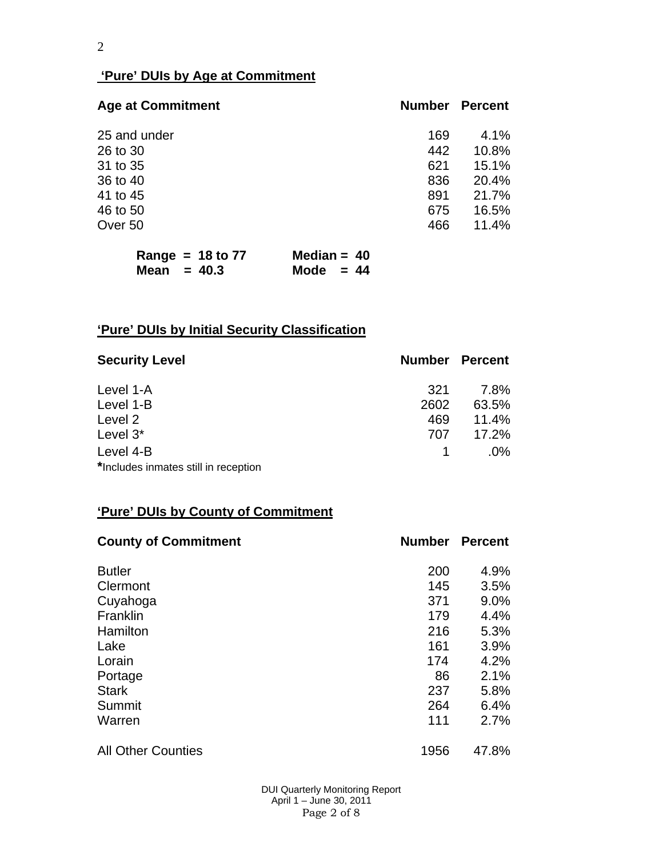## **'Pure' DUIs by Age at Commitment**

| <b>Age at Commitment</b> | <b>Number</b> | <b>Percent</b> |
|--------------------------|---------------|----------------|
| 25 and under             | 169           | 4.1%           |
| 26 to 30                 | 442           | 10.8%          |
| 31 to 35                 | 621           | 15.1%          |
| 36 to 40                 | 836           | 20.4%          |
| 41 to 45                 | 891           | 21.7%          |
| 46 to 50                 | 675           | 16.5%          |
| Over 50                  | 466           | 11.4%          |

| Range = $18$ to 77 | Median = $40$ |
|--------------------|---------------|
| Mean $= 40.3$      | Mode $= 44$   |

# **'Pure' DUIs by Initial Security Classification**

| <b>Security Level</b>                | <b>Number Percent</b> |        |
|--------------------------------------|-----------------------|--------|
| Level 1-A                            | 321                   | 7.8%   |
| Level 1-B                            | 2602                  | 63.5%  |
| Level 2                              | 469                   | 11.4%  |
| Level 3*                             | 707                   | 17.2%  |
| Level 4-B                            |                       | $.0\%$ |
| *Includes inmates still in reception |                       |        |

## **'Pure' DUIs by County of Commitment**

| <b>County of Commitment</b> | <b>Number</b> | <b>Percent</b> |
|-----------------------------|---------------|----------------|
| <b>Butler</b>               | 200           | 4.9%           |
| Clermont                    | 145           | 3.5%           |
| Cuyahoga                    | 371           | 9.0%           |
| Franklin                    | 179           | 4.4%           |
| Hamilton                    | 216           | 5.3%           |
| Lake                        | 161           | 3.9%           |
| Lorain                      | 174           | 4.2%           |
| Portage                     | 86            | 2.1%           |
| <b>Stark</b>                | 237           | 5.8%           |
| Summit                      | 264           | 6.4%           |
| Warren                      | 111           | 2.7%           |
| <b>All Other Counties</b>   | 1956          | 47.8%          |

 DUI Quarterly Monitoring Report April 1 – June 30, 2011 Page 2 of 8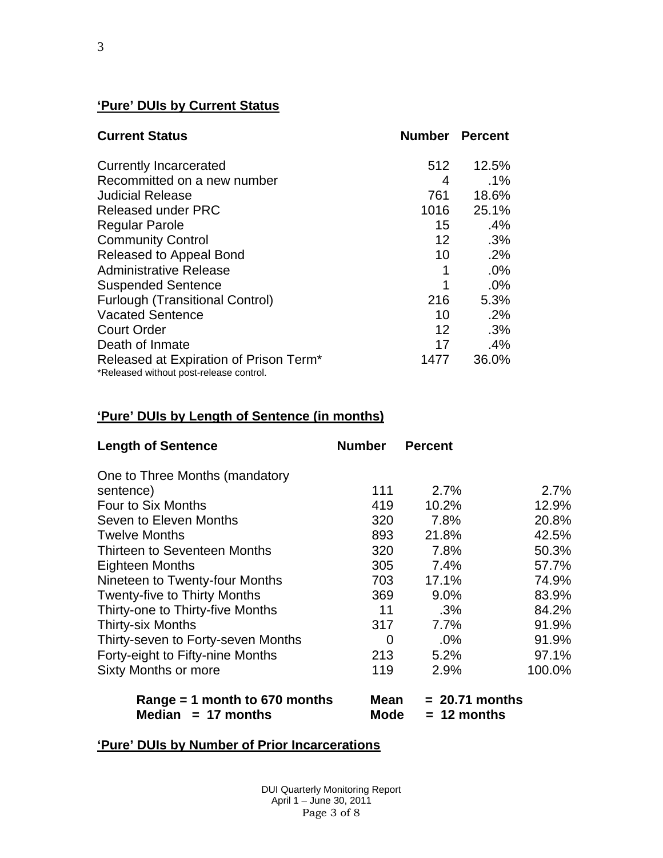# **'Pure' DUIs by Current Status**

| <b>Current Status</b>                                                                         |                 | <b>Number Percent</b> |
|-----------------------------------------------------------------------------------------------|-----------------|-----------------------|
| <b>Currently Incarcerated</b>                                                                 | 512             | 12.5%                 |
| Recommitted on a new number                                                                   | 4               | $.1\%$                |
| <b>Judicial Release</b>                                                                       | 761             | 18.6%                 |
| <b>Released under PRC</b>                                                                     | 1016            | 25.1%                 |
| <b>Regular Parole</b>                                                                         | 15              | .4%                   |
| <b>Community Control</b>                                                                      | 12 <sup>2</sup> | $.3\%$                |
| Released to Appeal Bond                                                                       | 10              | .2%                   |
| <b>Administrative Release</b>                                                                 | 1               | .0%                   |
| <b>Suspended Sentence</b>                                                                     | 1               | .0%                   |
| <b>Furlough (Transitional Control)</b>                                                        | 216             | 5.3%                  |
| <b>Vacated Sentence</b>                                                                       | 10              | .2%                   |
| <b>Court Order</b>                                                                            | 12 <sup>2</sup> | .3%                   |
| Death of Inmate                                                                               | 17              | .4%                   |
| Released at Expiration of Prison Term <sup>*</sup><br>*Released without post-release control. | 1477            | 36.0%                 |

# **'Pure' DUIs by Length of Sentence (in months)**

| <b>Length of Sentence</b>                             | <b>Number</b> | <b>Percent</b>                    |        |
|-------------------------------------------------------|---------------|-----------------------------------|--------|
| One to Three Months (mandatory                        |               |                                   |        |
| sentence)                                             | 111           | 2.7%                              | 2.7%   |
| Four to Six Months                                    | 419           | 10.2%                             | 12.9%  |
| Seven to Eleven Months                                | 320           | 7.8%                              | 20.8%  |
| <b>Twelve Months</b>                                  | 893           | 21.8%                             | 42.5%  |
| Thirteen to Seventeen Months                          | 320           | 7.8%                              | 50.3%  |
| Eighteen Months                                       | 305           | 7.4%                              | 57.7%  |
| Nineteen to Twenty-four Months                        | 703           | 17.1%                             | 74.9%  |
| <b>Twenty-five to Thirty Months</b>                   | 369           | 9.0%                              | 83.9%  |
| Thirty-one to Thirty-five Months                      | 11            | .3%                               | 84.2%  |
| <b>Thirty-six Months</b>                              | 317           | 7.7%                              | 91.9%  |
| Thirty-seven to Forty-seven Months                    | 0             | $.0\%$                            | 91.9%  |
| Forty-eight to Fifty-nine Months                      | 213           | 5.2%                              | 97.1%  |
| <b>Sixty Months or more</b>                           | 119           | 2.9%                              | 100.0% |
| Range = 1 month to 670 months<br>Median $= 17$ months | Mean<br>Mode  | $= 20.71$ months<br>$= 12$ months |        |

# **'Pure' DUIs by Number of Prior Incarcerations**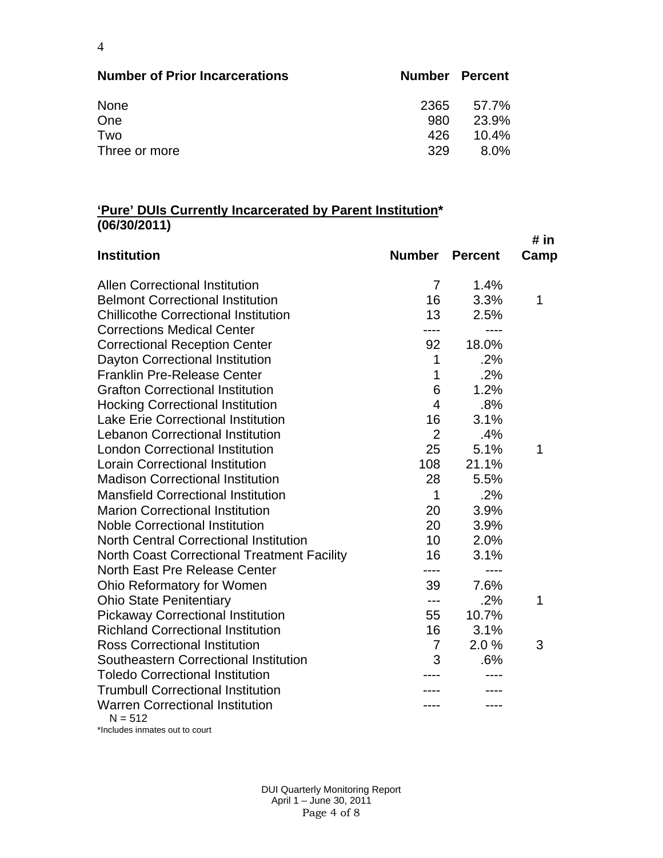| <b>Number of Prior Incarcerations</b> | <b>Number Percent</b> |          |
|---------------------------------------|-----------------------|----------|
| None                                  | 2365                  | 57.7%    |
| One                                   | 980                   | 23.9%    |
| Two                                   | 426                   | $10.4\%$ |
| Three or more                         | 329                   | 8.0%     |

#### **'Pure' DUIs Currently Incarcerated by Parent Institution\* (06/30/2011)**

|                                                     |                |                | # in |
|-----------------------------------------------------|----------------|----------------|------|
| <b>Institution</b>                                  | <b>Number</b>  | <b>Percent</b> | Camp |
| <b>Allen Correctional Institution</b>               | $\overline{7}$ | 1.4%           |      |
| <b>Belmont Correctional Institution</b>             | 16             | 3.3%           | 1    |
| <b>Chillicothe Correctional Institution</b>         | 13             | 2.5%           |      |
| <b>Corrections Medical Center</b>                   |                | ----           |      |
| <b>Correctional Reception Center</b>                | 92             | 18.0%          |      |
| Dayton Correctional Institution                     | 1              | .2%            |      |
| <b>Franklin Pre-Release Center</b>                  | 1              | .2%            |      |
| <b>Grafton Correctional Institution</b>             | 6              | 1.2%           |      |
| <b>Hocking Correctional Institution</b>             | 4              | .8%            |      |
| <b>Lake Erie Correctional Institution</b>           | 16             | 3.1%           |      |
| <b>Lebanon Correctional Institution</b>             | $\overline{2}$ | .4%            |      |
| <b>London Correctional Institution</b>              | 25             | 5.1%           | 1    |
| <b>Lorain Correctional Institution</b>              | 108            | 21.1%          |      |
| <b>Madison Correctional Institution</b>             | 28             | 5.5%           |      |
| <b>Mansfield Correctional Institution</b>           | 1              | .2%            |      |
| <b>Marion Correctional Institution</b>              | 20             | 3.9%           |      |
| <b>Noble Correctional Institution</b>               | 20             | 3.9%           |      |
| <b>North Central Correctional Institution</b>       | 10             | 2.0%           |      |
| <b>North Coast Correctional Treatment Facility</b>  | 16             | 3.1%           |      |
| North East Pre Release Center                       | ----           | $- - - -$      |      |
| Ohio Reformatory for Women                          | 39             | 7.6%           |      |
| <b>Ohio State Penitentiary</b>                      | ---            | .2%            | 1    |
| <b>Pickaway Correctional Institution</b>            | 55             | 10.7%          |      |
| <b>Richland Correctional Institution</b>            | 16             | 3.1%           |      |
| <b>Ross Correctional Institution</b>                | $\overline{7}$ | 2.0%           | 3    |
| Southeastern Correctional Institution               | 3              | .6%            |      |
| <b>Toledo Correctional Institution</b>              |                |                |      |
| <b>Trumbull Correctional Institution</b>            |                |                |      |
| <b>Warren Correctional Institution</b><br>$N = 512$ |                |                |      |

\*Includes inmates out to court

 DUI Quarterly Monitoring Report April 1 – June 30, 2011 Page 4 of 8

4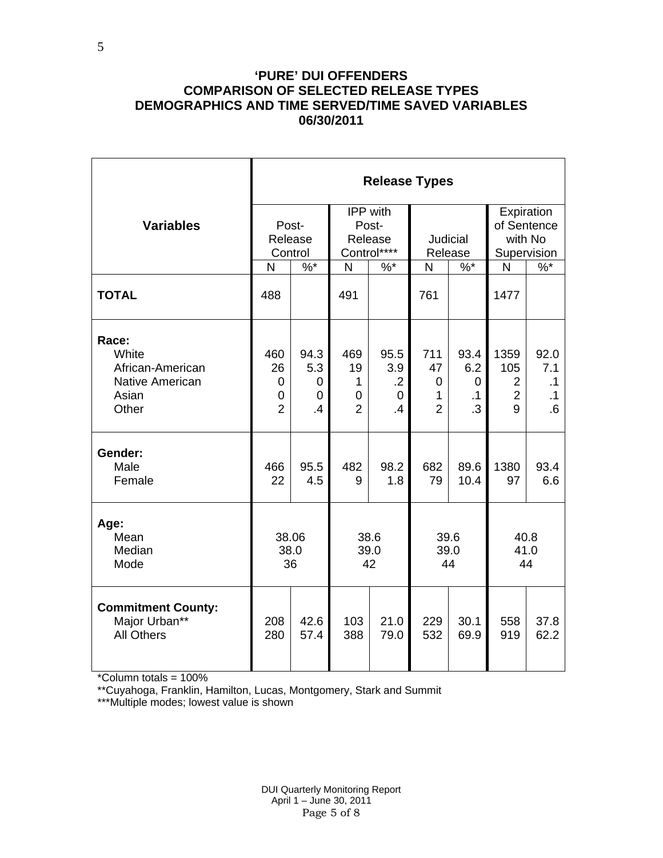#### **'PURE' DUI OFFENDERS COMPARISON OF SELECTED RELEASE TYPES DEMOGRAPHICS AND TIME SERVED/TIME SAVED VARIABLES 06/30/2011**

|                                                                                | <b>Release Types</b>                  |                                          |                                       |                                                  |                                                  |                                            |                                                      |                                             |  |  |
|--------------------------------------------------------------------------------|---------------------------------------|------------------------------------------|---------------------------------------|--------------------------------------------------|--------------------------------------------------|--------------------------------------------|------------------------------------------------------|---------------------------------------------|--|--|
| <b>Variables</b>                                                               | Post-<br>Release<br>Control           |                                          |                                       | IPP with<br>Post-<br>Release<br>Control****      | Judicial<br>Release                              |                                            | Expiration<br>of Sentence<br>with No<br>Supervision  |                                             |  |  |
|                                                                                | N                                     | $\%$ *                                   | N                                     | $%$ *                                            | N                                                | $\%$ *                                     | $\mathsf{N}$                                         | $\%$ *                                      |  |  |
| <b>TOTAL</b>                                                                   | 488                                   |                                          | 491                                   |                                                  | 761                                              |                                            | 1477                                                 |                                             |  |  |
| Race:<br>White<br>African-American<br><b>Native American</b><br>Asian<br>Other | 460<br>26<br>0<br>0<br>$\overline{2}$ | 94.3<br>5.3<br>0<br>$\overline{0}$<br>.4 | 469<br>19<br>1<br>0<br>$\overline{2}$ | 95.5<br>3.9<br>$\cdot$ .2<br>0<br>$\overline{A}$ | 711<br>47<br>0<br>$\mathbf{1}$<br>$\overline{2}$ | 93.4<br>6.2<br>0<br>$\cdot$ 1<br>$\cdot$ 3 | 1359<br>105<br>$\overline{2}$<br>$\overline{2}$<br>9 | 92.0<br>7.1<br>$\cdot$ 1<br>$\cdot$ 1<br>.6 |  |  |
| Gender:<br>Male<br>Female                                                      | 466<br>22                             | 95.5<br>4.5                              | 482<br>9                              | 98.2<br>1.8                                      | 682<br>79                                        | 89.6<br>10.4                               | 1380<br>97                                           | 93.4<br>6.6                                 |  |  |
| Age:<br>Mean<br>Median<br>Mode                                                 | 38.06<br>38.0<br>36                   |                                          | 38.6<br>39.0<br>42                    |                                                  | 39.6<br>39.0<br>44                               |                                            | 40.8<br>41.0<br>44                                   |                                             |  |  |
| <b>Commitment County:</b><br>Major Urban**<br><b>All Others</b>                | 208<br>280                            | 42.6<br>57.4                             | 103<br>388                            | 21.0<br>79.0                                     | 229<br>532                                       | 30.1<br>69.9                               | 558<br>919                                           | 37.8<br>62.2                                |  |  |

\*Column totals = 100%

\*\*Cuyahoga, Franklin, Hamilton, Lucas, Montgomery, Stark and Summit

\*\*\*Multiple modes; lowest value is shown

 DUI Quarterly Monitoring Report April 1 – June 30, 2011 Page 5 of 8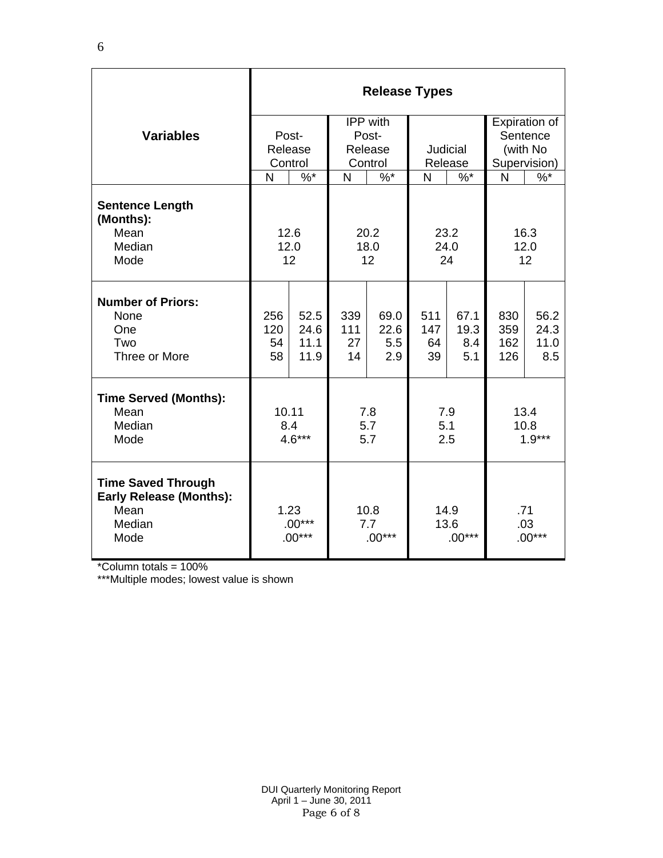|                                                                                       | <b>Release Types</b>         |                              |                         |                            |                          |                            |                          |                             |  |
|---------------------------------------------------------------------------------------|------------------------------|------------------------------|-------------------------|----------------------------|--------------------------|----------------------------|--------------------------|-----------------------------|--|
|                                                                                       |                              |                              | <b>IPP</b> with         |                            |                          |                            | Expiration of            |                             |  |
| <b>Variables</b>                                                                      |                              | Post-<br>Release             | Post-<br>Release        |                            | Judicial                 |                            | Sentence<br>(with No     |                             |  |
|                                                                                       | Control                      |                              | Control                 |                            | Release                  |                            | Supervision)             |                             |  |
|                                                                                       | N                            | $\frac{9}{6}$                | N                       | $\frac{9}{6}$              | N                        | $\sqrt[6]{6}$              | N                        | $\frac{9}{6}$               |  |
| <b>Sentence Length</b><br>(Months):<br>Mean<br>Median<br>Mode                         |                              | 12.6<br>12.0<br>12           |                         | 20.2<br>18.0<br>12         |                          | 23.2<br>24.0<br>24         | 16.3<br>12.0<br>12       |                             |  |
| <b>Number of Priors:</b><br>None<br>One<br>Two<br>Three or More                       | 256<br>120<br>54<br>58       | 52.5<br>24.6<br>11.1<br>11.9 | 339<br>111<br>27<br>14  | 69.0<br>22.6<br>5.5<br>2.9 | 511<br>147<br>64<br>39   | 67.1<br>19.3<br>8.4<br>5.1 | 830<br>359<br>162<br>126 | 56.2<br>24.3<br>11.0<br>8.5 |  |
| <b>Time Served (Months):</b><br>Mean<br>Median<br>Mode                                | 10.11<br>8.4<br>$4.6***$     |                              | 7.8<br>5.7<br>5.7       |                            | 7.9<br>5.1<br>2.5        |                            | 13.4<br>10.8<br>$1.9***$ |                             |  |
| <b>Time Saved Through</b><br><b>Early Release (Months):</b><br>Mean<br>Median<br>Mode | 1.23<br>$.00***$<br>$.00***$ |                              | 10.8<br>7.7<br>$.00***$ |                            | 14.9<br>13.6<br>$.00***$ |                            | .71<br>.03<br>$.00***$   |                             |  |

\*Column totals = 100%

\*\*\*Multiple modes; lowest value is shown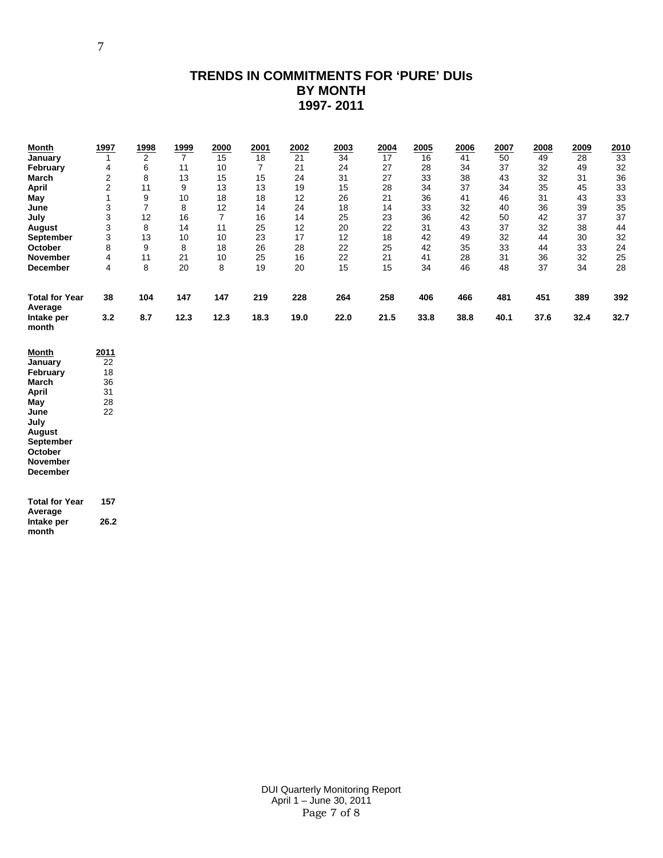## **TRENDS IN COMMITMENTS FOR 'PURE' DUIs BY MONTH 1997- 2011**

| 3<br>$\overline{7}$<br>35<br>12<br>33<br>36<br>8<br>14<br>24<br>18<br>14<br>32<br>40<br>39<br>June<br>3<br>12<br>25<br>42<br>July<br>16<br>7<br>16<br>14<br>23<br>36<br>42<br>50<br>37<br>37<br>3<br>8<br>14<br>11<br>25<br>12<br>20<br>22<br>31<br>43<br>37<br>32<br>38<br>44<br><b>August</b><br>3<br>13<br>10<br>23<br>17<br>12<br>18<br>42<br>32<br>32<br>10<br>49<br>44<br>30<br>September<br>8<br>9<br>26<br>28<br>33<br>October<br>8<br>18<br>22<br>25<br>42<br>35<br>44<br>33<br>24<br>4<br>11<br>21<br>25<br>16<br>22<br>21<br>41<br>31<br>36<br>32<br><b>November</b><br>10<br>28<br>25<br>8<br>20<br>8<br>19<br>15<br>15<br>37<br>34<br>4<br>20<br>34<br>46<br>48<br>28<br>December<br>451<br><b>Total for Year</b><br>38<br>104<br>147<br>147<br>219<br>228<br>264<br>258<br>406<br>466<br>481<br>389<br>392<br>Average<br>32.7<br>3.2<br>8.7<br>12.3<br>12.3<br>18.3<br>21.5<br>33.8<br>38.8<br>37.6<br>Intake per<br>19.0<br>22.0<br>40.1<br>32.4<br>month<br>2011<br><b>Month</b><br>22<br>January<br>18<br>February<br>36<br>March<br>April<br>31<br>28<br>May<br>22<br>June<br>July<br>August<br>September<br>October<br><b>November</b><br>December<br><b>Total for Year</b><br>157<br>Average<br>Intake per<br>26.2 | <b>Month</b><br>January<br>February<br>March<br>April<br>May | 1997<br>$\mathbf{1}$<br>4<br>2<br>$\overline{\mathbf{c}}$<br>1 | 1998<br>$\overline{2}$<br>6<br>8<br>11<br>9 | <u>1999</u><br>$\overline{7}$<br>11<br>13<br>9<br>10 | 2000<br>15<br>10<br>15<br>13<br>18 | 2001<br>18<br>7<br>15<br>13<br>18 | 2002<br>21<br>21<br>24<br>19<br>12 | 2003<br>34<br>24<br>31<br>15<br>26 | 2004<br>$\overline{17}$<br>27<br>27<br>28<br>21 | 2005<br>16<br>28<br>33<br>34<br>36 | 2006<br>41<br>34<br>38<br>37<br>41 | 2007<br>50<br>37<br>43<br>34<br>46 | 2008<br>49<br>32<br>32<br>35<br>31 | 2009<br>$\overline{28}$<br>49<br>31<br>45<br>43 | 2010<br>33<br>32<br>36<br>33<br>33 |
|----------------------------------------------------------------------------------------------------------------------------------------------------------------------------------------------------------------------------------------------------------------------------------------------------------------------------------------------------------------------------------------------------------------------------------------------------------------------------------------------------------------------------------------------------------------------------------------------------------------------------------------------------------------------------------------------------------------------------------------------------------------------------------------------------------------------------------------------------------------------------------------------------------------------------------------------------------------------------------------------------------------------------------------------------------------------------------------------------------------------------------------------------------------------------------------------------------------------------------------|--------------------------------------------------------------|----------------------------------------------------------------|---------------------------------------------|------------------------------------------------------|------------------------------------|-----------------------------------|------------------------------------|------------------------------------|-------------------------------------------------|------------------------------------|------------------------------------|------------------------------------|------------------------------------|-------------------------------------------------|------------------------------------|
|                                                                                                                                                                                                                                                                                                                                                                                                                                                                                                                                                                                                                                                                                                                                                                                                                                                                                                                                                                                                                                                                                                                                                                                                                                        |                                                              |                                                                |                                             |                                                      |                                    |                                   |                                    |                                    |                                                 |                                    |                                    |                                    |                                    |                                                 |                                    |
|                                                                                                                                                                                                                                                                                                                                                                                                                                                                                                                                                                                                                                                                                                                                                                                                                                                                                                                                                                                                                                                                                                                                                                                                                                        |                                                              |                                                                |                                             |                                                      |                                    |                                   |                                    |                                    |                                                 |                                    |                                    |                                    |                                    |                                                 |                                    |
|                                                                                                                                                                                                                                                                                                                                                                                                                                                                                                                                                                                                                                                                                                                                                                                                                                                                                                                                                                                                                                                                                                                                                                                                                                        |                                                              |                                                                |                                             |                                                      |                                    |                                   |                                    |                                    |                                                 |                                    |                                    |                                    |                                    |                                                 |                                    |
|                                                                                                                                                                                                                                                                                                                                                                                                                                                                                                                                                                                                                                                                                                                                                                                                                                                                                                                                                                                                                                                                                                                                                                                                                                        |                                                              |                                                                |                                             |                                                      |                                    |                                   |                                    |                                    |                                                 |                                    |                                    |                                    |                                    |                                                 |                                    |
|                                                                                                                                                                                                                                                                                                                                                                                                                                                                                                                                                                                                                                                                                                                                                                                                                                                                                                                                                                                                                                                                                                                                                                                                                                        |                                                              |                                                                |                                             |                                                      |                                    |                                   |                                    |                                    |                                                 |                                    |                                    |                                    |                                    |                                                 |                                    |
|                                                                                                                                                                                                                                                                                                                                                                                                                                                                                                                                                                                                                                                                                                                                                                                                                                                                                                                                                                                                                                                                                                                                                                                                                                        |                                                              |                                                                |                                             |                                                      |                                    |                                   |                                    |                                    |                                                 |                                    |                                    |                                    |                                    |                                                 |                                    |
|                                                                                                                                                                                                                                                                                                                                                                                                                                                                                                                                                                                                                                                                                                                                                                                                                                                                                                                                                                                                                                                                                                                                                                                                                                        |                                                              |                                                                |                                             |                                                      |                                    |                                   |                                    |                                    |                                                 |                                    |                                    |                                    |                                    |                                                 |                                    |
|                                                                                                                                                                                                                                                                                                                                                                                                                                                                                                                                                                                                                                                                                                                                                                                                                                                                                                                                                                                                                                                                                                                                                                                                                                        |                                                              |                                                                |                                             |                                                      |                                    |                                   |                                    |                                    |                                                 |                                    |                                    |                                    |                                    |                                                 |                                    |

**Intake per month**